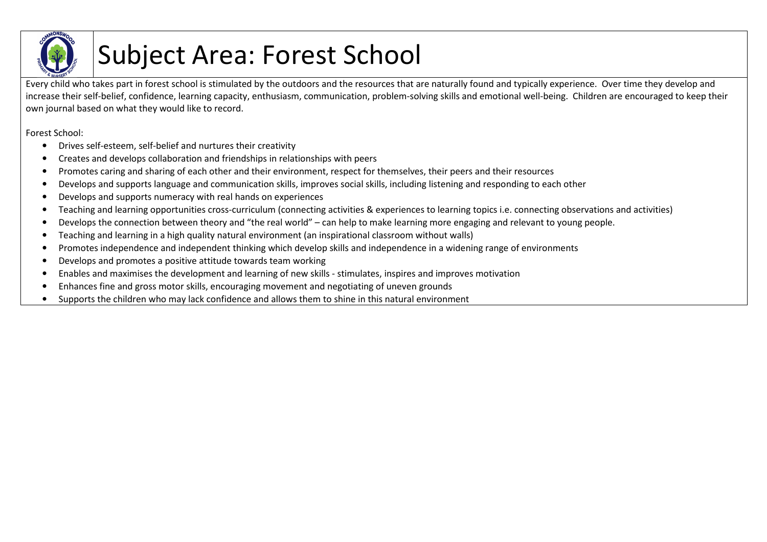

## Subject Area: Forest School

Every child who takes part in forest school is stimulated by the outdoors and the resources that are naturally found and typically experience. Over time they develop and increase their self-belief, confidence, learning capacity, enthusiasm, communication, problem-solving skills and emotional well-being. Children are encouraged to keep their own journal based on what they would like to record.

Forest School:

- $\bullet$ Drives self-esteem, self-belief and nurtures their creativity
- •Creates and develops collaboration and friendships in relationships with peers
- •Promotes caring and sharing of each other and their environment, respect for themselves, their peers and their resources
- •Develops and supports language and communication skills, improves social skills, including listening and responding to each other
- •Develops and supports numeracy with real hands on experiences
- •Teaching and learning opportunities cross-curriculum (connecting activities & experiences to learning topics i.e. connecting observations and activities)
- •Develops the connection between theory and "the real world" – can help to make learning more engaging and relevant to young people.
- •Teaching and learning in a high quality natural environment (an inspirational classroom without walls)
- •Promotes independence and independent thinking which develop skills and independence in a widening range of environments
- •Develops and promotes a positive attitude towards team working
- •Enables and maximises the development and learning of new skills - stimulates, inspires and improves motivation
- •Enhances fine and gross motor skills, encouraging movement and negotiating of uneven grounds
- •Supports the children who may lack confidence and allows them to shine in this natural environment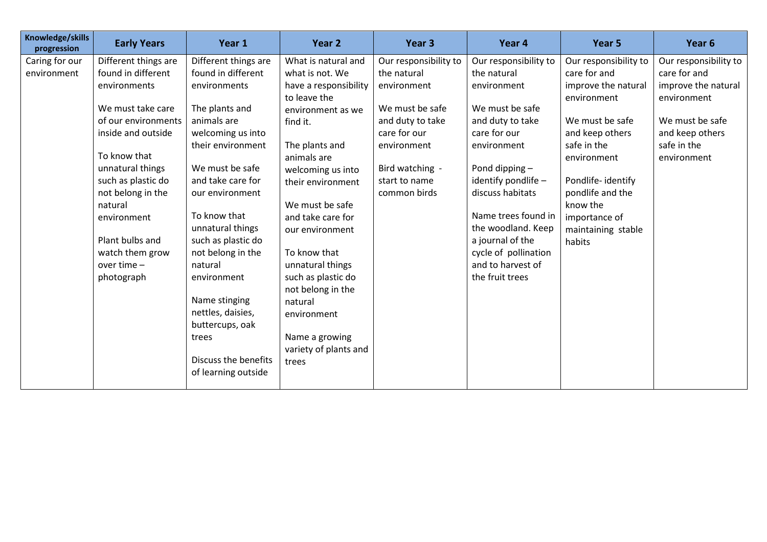| Knowledge/skills<br>progression | <b>Early Years</b>           | Year 1               | Year <sub>2</sub>     | Year 3                | Year 4                | Year 5                       | Year 6                |
|---------------------------------|------------------------------|----------------------|-----------------------|-----------------------|-----------------------|------------------------------|-----------------------|
| Caring for our                  | Different things are         | Different things are | What is natural and   | Our responsibility to | Our responsibility to | Our responsibility to        | Our responsibility to |
| environment                     | found in different           | found in different   | what is not. We       | the natural           | the natural           | care for and                 | care for and          |
|                                 | environments                 | environments         | have a responsibility | environment           | environment           | improve the natural          | improve the natural   |
|                                 |                              |                      | to leave the          |                       |                       | environment                  | environment           |
|                                 | We must take care            | The plants and       | environment as we     | We must be safe       | We must be safe       |                              |                       |
|                                 | of our environments          | animals are          | find it.              | and duty to take      | and duty to take      | We must be safe              | We must be safe       |
|                                 | inside and outside           | welcoming us into    |                       | care for our          | care for our          | and keep others              | and keep others       |
|                                 |                              | their environment    | The plants and        | environment           | environment           | safe in the                  | safe in the           |
|                                 | To know that                 |                      | animals are           |                       |                       | environment                  | environment           |
|                                 | unnatural things             | We must be safe      | welcoming us into     | Bird watching -       | Pond dipping -        |                              |                       |
|                                 | such as plastic do           | and take care for    | their environment     | start to name         | identify pondlife -   | Pondlife-identify            |                       |
|                                 | not belong in the<br>natural | our environment      | We must be safe       | common birds          | discuss habitats      | pondlife and the<br>know the |                       |
|                                 | environment                  | To know that         | and take care for     |                       | Name trees found in   | importance of                |                       |
|                                 |                              | unnatural things     | our environment       |                       | the woodland. Keep    | maintaining stable           |                       |
|                                 | Plant bulbs and              | such as plastic do   |                       |                       | a journal of the      | habits                       |                       |
|                                 | watch them grow              | not belong in the    | To know that          |                       | cycle of pollination  |                              |                       |
|                                 | over time $-$                | natural              | unnatural things      |                       | and to harvest of     |                              |                       |
|                                 | photograph                   | environment          | such as plastic do    |                       | the fruit trees       |                              |                       |
|                                 |                              |                      | not belong in the     |                       |                       |                              |                       |
|                                 |                              | Name stinging        | natural               |                       |                       |                              |                       |
|                                 |                              | nettles, daisies,    | environment           |                       |                       |                              |                       |
|                                 |                              | buttercups, oak      |                       |                       |                       |                              |                       |
|                                 |                              | trees                | Name a growing        |                       |                       |                              |                       |
|                                 |                              |                      | variety of plants and |                       |                       |                              |                       |
|                                 |                              | Discuss the benefits | trees                 |                       |                       |                              |                       |
|                                 |                              | of learning outside  |                       |                       |                       |                              |                       |
|                                 |                              |                      |                       |                       |                       |                              |                       |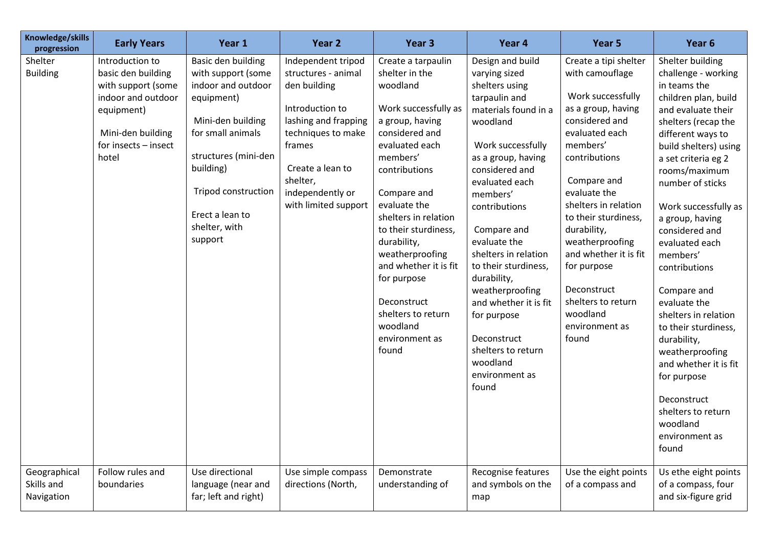| Knowledge/skills<br>progression          | <b>Early Years</b>                                                                                                                                    | Year 1                                                                                                                                                                                                                            | Year 2                                                                                                                                                                                                           | Year 3                                                                                                                                                                                                                                                                                                                                                                                            | Year 4                                                                                                                                                                                                                                                                                                                                                                                                                                                    | Year 5                                                                                                                                                                                                                                                                                                                                                                                    | Year 6                                                                                                                                                                                                                                                                                                                                                                                                                                                                                                                                                                                  |
|------------------------------------------|-------------------------------------------------------------------------------------------------------------------------------------------------------|-----------------------------------------------------------------------------------------------------------------------------------------------------------------------------------------------------------------------------------|------------------------------------------------------------------------------------------------------------------------------------------------------------------------------------------------------------------|---------------------------------------------------------------------------------------------------------------------------------------------------------------------------------------------------------------------------------------------------------------------------------------------------------------------------------------------------------------------------------------------------|-----------------------------------------------------------------------------------------------------------------------------------------------------------------------------------------------------------------------------------------------------------------------------------------------------------------------------------------------------------------------------------------------------------------------------------------------------------|-------------------------------------------------------------------------------------------------------------------------------------------------------------------------------------------------------------------------------------------------------------------------------------------------------------------------------------------------------------------------------------------|-----------------------------------------------------------------------------------------------------------------------------------------------------------------------------------------------------------------------------------------------------------------------------------------------------------------------------------------------------------------------------------------------------------------------------------------------------------------------------------------------------------------------------------------------------------------------------------------|
| Shelter<br><b>Building</b>               | Introduction to<br>basic den building<br>with support (some<br>indoor and outdoor<br>equipment)<br>Mini-den building<br>for insects - insect<br>hotel | Basic den building<br>with support (some<br>indoor and outdoor<br>equipment)<br>Mini-den building<br>for small animals<br>structures (mini-den<br>building)<br>Tripod construction<br>Erect a lean to<br>shelter, with<br>support | Independent tripod<br>structures - animal<br>den building<br>Introduction to<br>lashing and frapping<br>techniques to make<br>frames<br>Create a lean to<br>shelter,<br>independently or<br>with limited support | Create a tarpaulin<br>shelter in the<br>woodland<br>Work successfully as<br>a group, having<br>considered and<br>evaluated each<br>members'<br>contributions<br>Compare and<br>evaluate the<br>shelters in relation<br>to their sturdiness,<br>durability,<br>weatherproofing<br>and whether it is fit<br>for purpose<br>Deconstruct<br>shelters to return<br>woodland<br>environment as<br>found | Design and build<br>varying sized<br>shelters using<br>tarpaulin and<br>materials found in a<br>woodland<br>Work successfully<br>as a group, having<br>considered and<br>evaluated each<br>members'<br>contributions<br>Compare and<br>evaluate the<br>shelters in relation<br>to their sturdiness,<br>durability,<br>weatherproofing<br>and whether it is fit<br>for purpose<br>Deconstruct<br>shelters to return<br>woodland<br>environment as<br>found | Create a tipi shelter<br>with camouflage<br>Work successfully<br>as a group, having<br>considered and<br>evaluated each<br>members'<br>contributions<br>Compare and<br>evaluate the<br>shelters in relation<br>to their sturdiness,<br>durability,<br>weatherproofing<br>and whether it is fit<br>for purpose<br>Deconstruct<br>shelters to return<br>woodland<br>environment as<br>found | Shelter building<br>challenge - working<br>in teams the<br>children plan, build<br>and evaluate their<br>shelters (recap the<br>different ways to<br>build shelters) using<br>a set criteria eg 2<br>rooms/maximum<br>number of sticks<br>Work successfully as<br>a group, having<br>considered and<br>evaluated each<br>members'<br>contributions<br>Compare and<br>evaluate the<br>shelters in relation<br>to their sturdiness,<br>durability,<br>weatherproofing<br>and whether it is fit<br>for purpose<br>Deconstruct<br>shelters to return<br>woodland<br>environment as<br>found |
| Geographical<br>Skills and<br>Navigation | Follow rules and<br>boundaries                                                                                                                        | Use directional<br>language (near and<br>far; left and right)                                                                                                                                                                     | Use simple compass<br>directions (North,                                                                                                                                                                         | Demonstrate<br>understanding of                                                                                                                                                                                                                                                                                                                                                                   | Recognise features<br>and symbols on the<br>map                                                                                                                                                                                                                                                                                                                                                                                                           | Use the eight points<br>of a compass and                                                                                                                                                                                                                                                                                                                                                  | Us ethe eight points<br>of a compass, four<br>and six-figure grid                                                                                                                                                                                                                                                                                                                                                                                                                                                                                                                       |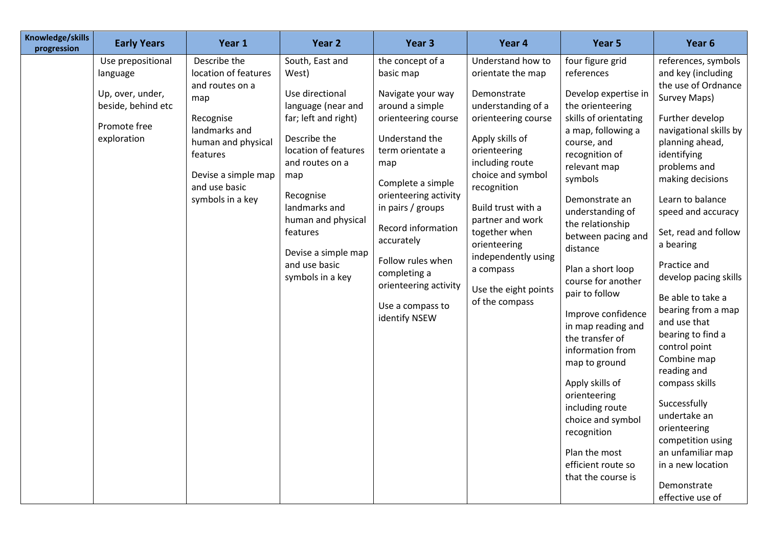| Knowledge/skills<br>progression | <b>Early Years</b>                                                                                     | Year 1                                                                                                                                                                                     | Year 2                                                                                                                                                                                                                                                                                  | Year <sub>3</sub>                                                                                                                                                                                                                                                                                                                                   | Year 4                                                                                                                                                                                                                                                                                                                                                | Year 5                                                                                                                                                                                                                                                                                                                                                                                                                                                                                                                                                                                                    | Year 6                                                                                                                                                                                                                                                                                                                                                                                                                                                                                                                                                                                                                         |
|---------------------------------|--------------------------------------------------------------------------------------------------------|--------------------------------------------------------------------------------------------------------------------------------------------------------------------------------------------|-----------------------------------------------------------------------------------------------------------------------------------------------------------------------------------------------------------------------------------------------------------------------------------------|-----------------------------------------------------------------------------------------------------------------------------------------------------------------------------------------------------------------------------------------------------------------------------------------------------------------------------------------------------|-------------------------------------------------------------------------------------------------------------------------------------------------------------------------------------------------------------------------------------------------------------------------------------------------------------------------------------------------------|-----------------------------------------------------------------------------------------------------------------------------------------------------------------------------------------------------------------------------------------------------------------------------------------------------------------------------------------------------------------------------------------------------------------------------------------------------------------------------------------------------------------------------------------------------------------------------------------------------------|--------------------------------------------------------------------------------------------------------------------------------------------------------------------------------------------------------------------------------------------------------------------------------------------------------------------------------------------------------------------------------------------------------------------------------------------------------------------------------------------------------------------------------------------------------------------------------------------------------------------------------|
|                                 | Use prepositional<br>language<br>Up, over, under,<br>beside, behind etc<br>Promote free<br>exploration | Describe the<br>location of features<br>and routes on a<br>map<br>Recognise<br>landmarks and<br>human and physical<br>features<br>Devise a simple map<br>and use basic<br>symbols in a key | South, East and<br>West)<br>Use directional<br>language (near and<br>far; left and right)<br>Describe the<br>location of features<br>and routes on a<br>map<br>Recognise<br>landmarks and<br>human and physical<br>features<br>Devise a simple map<br>and use basic<br>symbols in a key | the concept of a<br>basic map<br>Navigate your way<br>around a simple<br>orienteering course<br>Understand the<br>term orientate a<br>map<br>Complete a simple<br>orienteering activity<br>in pairs / groups<br>Record information<br>accurately<br>Follow rules when<br>completing a<br>orienteering activity<br>Use a compass to<br>identify NSEW | Understand how to<br>orientate the map<br>Demonstrate<br>understanding of a<br>orienteering course<br>Apply skills of<br>orienteering<br>including route<br>choice and symbol<br>recognition<br>Build trust with a<br>partner and work<br>together when<br>orienteering<br>independently using<br>a compass<br>Use the eight points<br>of the compass | four figure grid<br>references<br>Develop expertise in<br>the orienteering<br>skills of orientating<br>a map, following a<br>course, and<br>recognition of<br>relevant map<br>symbols<br>Demonstrate an<br>understanding of<br>the relationship<br>between pacing and<br>distance<br>Plan a short loop<br>course for another<br>pair to follow<br>Improve confidence<br>in map reading and<br>the transfer of<br>information from<br>map to ground<br>Apply skills of<br>orienteering<br>including route<br>choice and symbol<br>recognition<br>Plan the most<br>efficient route so<br>that the course is | references, symbols<br>and key (including<br>the use of Ordnance<br>Survey Maps)<br>Further develop<br>navigational skills by<br>planning ahead,<br>identifying<br>problems and<br>making decisions<br>Learn to balance<br>speed and accuracy<br>Set, read and follow<br>a bearing<br>Practice and<br>develop pacing skills<br>Be able to take a<br>bearing from a map<br>and use that<br>bearing to find a<br>control point<br>Combine map<br>reading and<br>compass skills<br>Successfully<br>undertake an<br>orienteering<br>competition using<br>an unfamiliar map<br>in a new location<br>Demonstrate<br>effective use of |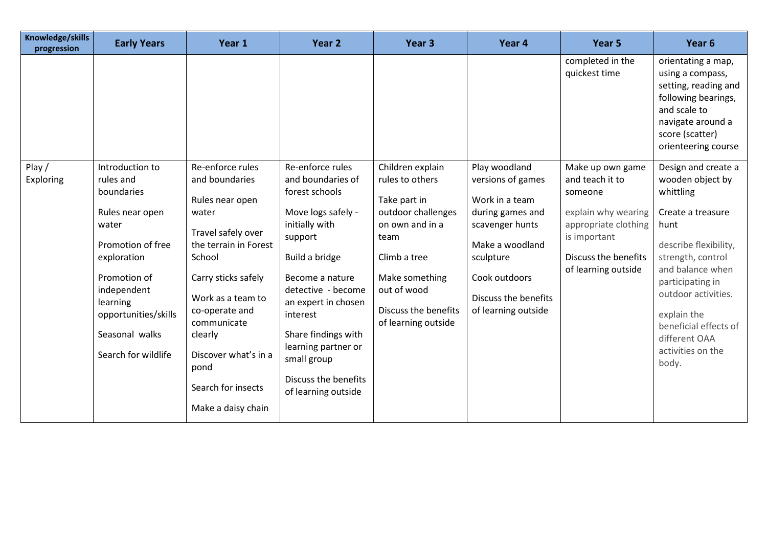| Knowledge/skills<br>progression | <b>Early Years</b>                                                                                                                                                                                                     | Year 1                                                                                                                                                                                                                                                                                      | Year <sub>2</sub>                                                                                                                                                                                                                                                                                                    | Year <sub>3</sub>                                                                                                                                                                                    | Year 4                                                                                                                                                                                      | Year <sub>5</sub>                                                                                                                                            | Year <sub>6</sub>                                                                                                                                                                                                                                                                     |
|---------------------------------|------------------------------------------------------------------------------------------------------------------------------------------------------------------------------------------------------------------------|---------------------------------------------------------------------------------------------------------------------------------------------------------------------------------------------------------------------------------------------------------------------------------------------|----------------------------------------------------------------------------------------------------------------------------------------------------------------------------------------------------------------------------------------------------------------------------------------------------------------------|------------------------------------------------------------------------------------------------------------------------------------------------------------------------------------------------------|---------------------------------------------------------------------------------------------------------------------------------------------------------------------------------------------|--------------------------------------------------------------------------------------------------------------------------------------------------------------|---------------------------------------------------------------------------------------------------------------------------------------------------------------------------------------------------------------------------------------------------------------------------------------|
|                                 |                                                                                                                                                                                                                        |                                                                                                                                                                                                                                                                                             |                                                                                                                                                                                                                                                                                                                      |                                                                                                                                                                                                      |                                                                                                                                                                                             | completed in the<br>quickest time                                                                                                                            | orientating a map,<br>using a compass,<br>setting, reading and<br>following bearings,<br>and scale to<br>navigate around a<br>score (scatter)<br>orienteering course                                                                                                                  |
| Play /<br>Exploring             | Introduction to<br>rules and<br>boundaries<br>Rules near open<br>water<br>Promotion of free<br>exploration<br>Promotion of<br>independent<br>learning<br>opportunities/skills<br>Seasonal walks<br>Search for wildlife | Re-enforce rules<br>and boundaries<br>Rules near open<br>water<br>Travel safely over<br>the terrain in Forest<br>School<br>Carry sticks safely<br>Work as a team to<br>co-operate and<br>communicate<br>clearly<br>Discover what's in a<br>pond<br>Search for insects<br>Make a daisy chain | Re-enforce rules<br>and boundaries of<br>forest schools<br>Move logs safely -<br>initially with<br>support<br>Build a bridge<br>Become a nature<br>detective - become<br>an expert in chosen<br>interest<br>Share findings with<br>learning partner or<br>small group<br>Discuss the benefits<br>of learning outside | Children explain<br>rules to others<br>Take part in<br>outdoor challenges<br>on own and in a<br>team<br>Climb a tree<br>Make something<br>out of wood<br>Discuss the benefits<br>of learning outside | Play woodland<br>versions of games<br>Work in a team<br>during games and<br>scavenger hunts<br>Make a woodland<br>sculpture<br>Cook outdoors<br>Discuss the benefits<br>of learning outside | Make up own game<br>and teach it to<br>someone<br>explain why wearing<br>appropriate clothing<br>is important<br>Discuss the benefits<br>of learning outside | Design and create a<br>wooden object by<br>whittling<br>Create a treasure<br>hunt<br>describe flexibility,<br>strength, control<br>and balance when<br>participating in<br>outdoor activities.<br>explain the<br>beneficial effects of<br>different OAA<br>activities on the<br>body. |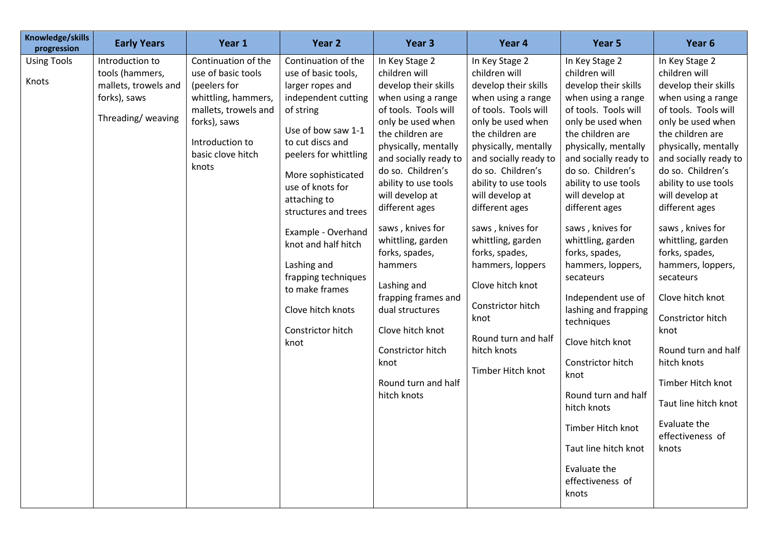| Knowledge/skills<br>progression                                                                        | Year 1                                                                                              | <b>Early Years</b><br>Year <sub>2</sub>                                                                                                                                                                                                                                                                                                                                                                                                                                                                      | Year <sub>3</sub>                                                                                                                                                                                                                                                                                                                                                                                                                                                                                       | Year 4                                                                                                                                                                                                                                                                                                                                                                                                                                                                       | Year 5                                                                                                                                                                                                                                                                                                                                                                                                                                                                                                                                                                                                                      | Year 6                                                                                                                                                                                                                                                                                                                                                                                                                                                                                                                                                          |
|--------------------------------------------------------------------------------------------------------|-----------------------------------------------------------------------------------------------------|--------------------------------------------------------------------------------------------------------------------------------------------------------------------------------------------------------------------------------------------------------------------------------------------------------------------------------------------------------------------------------------------------------------------------------------------------------------------------------------------------------------|---------------------------------------------------------------------------------------------------------------------------------------------------------------------------------------------------------------------------------------------------------------------------------------------------------------------------------------------------------------------------------------------------------------------------------------------------------------------------------------------------------|------------------------------------------------------------------------------------------------------------------------------------------------------------------------------------------------------------------------------------------------------------------------------------------------------------------------------------------------------------------------------------------------------------------------------------------------------------------------------|-----------------------------------------------------------------------------------------------------------------------------------------------------------------------------------------------------------------------------------------------------------------------------------------------------------------------------------------------------------------------------------------------------------------------------------------------------------------------------------------------------------------------------------------------------------------------------------------------------------------------------|-----------------------------------------------------------------------------------------------------------------------------------------------------------------------------------------------------------------------------------------------------------------------------------------------------------------------------------------------------------------------------------------------------------------------------------------------------------------------------------------------------------------------------------------------------------------|
| <b>Using Tools</b><br>Introduction to<br>tools (hammers,<br>Knots<br>forks), saws<br>Threading/weaving | use of basic tools<br>(peelers for<br>forks), saws<br>Introduction to<br>basic clove hitch<br>knots | Continuation of the<br>Continuation of the<br>use of basic tools,<br>mallets, trowels and<br>larger ropes and<br>whittling, hammers,<br>independent cutting<br>mallets, trowels and<br>of string<br>Use of bow saw 1-1<br>to cut discs and<br>peelers for whittling<br>More sophisticated<br>use of knots for<br>attaching to<br>structures and trees<br>Example - Overhand<br>knot and half hitch<br>Lashing and<br>frapping techniques<br>to make frames<br>Clove hitch knots<br>Constrictor hitch<br>knot | In Key Stage 2<br>children will<br>develop their skills<br>when using a range<br>of tools. Tools will<br>only be used when<br>the children are<br>physically, mentally<br>and socially ready to<br>do so. Children's<br>ability to use tools<br>will develop at<br>different ages<br>saws, knives for<br>whittling, garden<br>forks, spades,<br>hammers<br>Lashing and<br>frapping frames and<br>dual structures<br>Clove hitch knot<br>Constrictor hitch<br>knot<br>Round turn and half<br>hitch knots | In Key Stage 2<br>children will<br>develop their skills<br>when using a range<br>of tools. Tools will<br>only be used when<br>the children are<br>physically, mentally<br>and socially ready to<br>do so. Children's<br>ability to use tools<br>will develop at<br>different ages<br>saws, knives for<br>whittling, garden<br>forks, spades,<br>hammers, loppers<br>Clove hitch knot<br>Constrictor hitch<br>knot<br>Round turn and half<br>hitch knots<br>Timber Hitch knot | In Key Stage 2<br>children will<br>develop their skills<br>when using a range<br>of tools. Tools will<br>only be used when<br>the children are<br>physically, mentally<br>and socially ready to<br>do so. Children's<br>ability to use tools<br>will develop at<br>different ages<br>saws, knives for<br>whittling, garden<br>forks, spades,<br>hammers, loppers,<br>secateurs<br>Independent use of<br>lashing and frapping<br>techniques<br>Clove hitch knot<br>Constrictor hitch<br>knot<br>Round turn and half<br>hitch knots<br>Timber Hitch knot<br>Taut line hitch knot<br>Evaluate the<br>effectiveness of<br>knots | In Key Stage 2<br>children will<br>develop their skills<br>when using a range<br>of tools. Tools will<br>only be used when<br>the children are<br>physically, mentally<br>and socially ready to<br>do so. Children's<br>ability to use tools<br>will develop at<br>different ages<br>saws, knives for<br>whittling, garden<br>forks, spades,<br>hammers, loppers,<br>secateurs<br>Clove hitch knot<br>Constrictor hitch<br>knot<br>Round turn and half<br>hitch knots<br>Timber Hitch knot<br>Taut line hitch knot<br>Evaluate the<br>effectiveness of<br>knots |